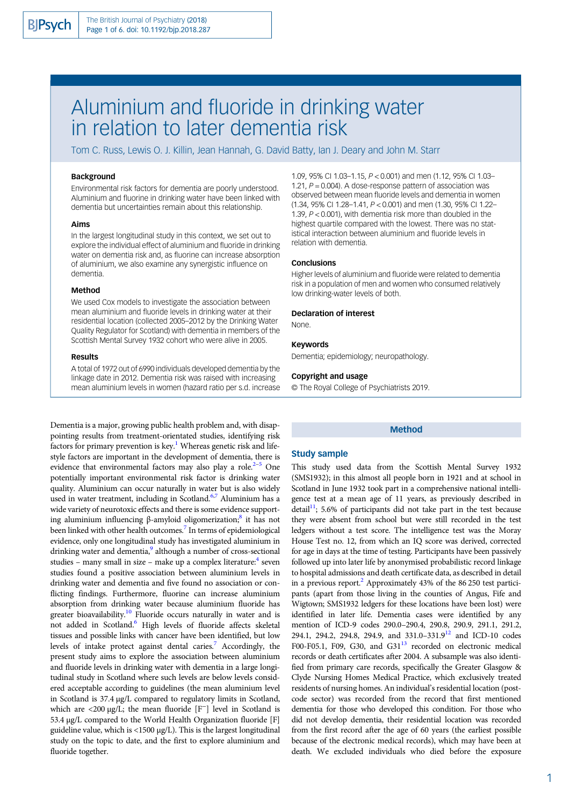# Aluminium and fluoride in drinking water in relation to later dementia risk

Tom C. Russ, Lewis O. J. Killin, Jean Hannah, G. David Batty, Ian J. Deary and John M. Starr

# **Background**

Environmental risk factors for dementia are poorly understood. Aluminium and fluorine in drinking water have been linked with dementia but uncertainties remain about this relationship.

## Aims

In the largest longitudinal study in this context, we set out to explore the individual effect of aluminium and fluoride in drinking water on dementia risk and, as fluorine can increase absorption of aluminium, we also examine any synergistic influence on dementia.

## Method

We used Cox models to investigate the association between mean aluminium and fluoride levels in drinking water at their residential location (collected 2005–2012 by the Drinking Water Quality Regulator for Scotland) with dementia in members of the Scottish Mental Survey 1932 cohort who were alive in 2005.

#### Results

A total of 1972 out of 6990 individuals developed dementia by the linkage date in 2012. Dementia risk was raised with increasing mean aluminium levels in women (hazard ratio per s.d. increase

Dementia is a major, growing public health problem and, with disappointing results from treatment-orientated studies, identifying risk factors for primary prevention is key.<sup>[1](#page-5-0)</sup> Whereas genetic risk and lifestyle factors are important in the development of dementia, there is evidence that environmental factors may also play a role.<sup>2–[5](#page-5-0)</sup> One potentially important environmental risk factor is drinking water quality. Aluminium can occur naturally in water but is also widely used in water treatment, including in Scotland.<sup>[6,7](#page-5-0)</sup> Aluminium has a wide variety of neurotoxic effects and there is some evidence support-ing aluminium influencing β-amyloid oligomerization;<sup>[8](#page-5-0)</sup> it has not been linked with other health outcomes.<sup>[7](#page-5-0)</sup> In terms of epidemiological evidence, only one longitudinal study has investigated aluminium in drinking water and dementia,<sup>[9](#page-5-0)</sup> although a number of cross-sectional studies – many small in size – make up a complex literature: $4$  seven studies found a positive association between aluminium levels in drinking water and dementia and five found no association or conflicting findings. Furthermore, fluorine can increase aluminium absorption from drinking water because aluminium fluoride has greater bioavailability.<sup>10</sup> Fluoride occurs naturally in water and is not added in Scotland.<sup>6</sup> High levels of fluoride affects skeletal tissues and possible links with cancer have been identified, but low levels of intake protect against dental caries[.7](#page-5-0) Accordingly, the present study aims to explore the association between aluminium and fluoride levels in drinking water with dementia in a large longitudinal study in Scotland where such levels are below levels considered acceptable according to guidelines (the mean aluminium level in Scotland is 37.4 µg/L compared to regulatory limits in Scotland, which are <200 μg/L; the mean fluoride [F<sup>-</sup>] level in Scotland is 53.4 µg/L compared to the World Health Organization fluoride [F] guideline value, which is  $\langle 1500 \mu g/L \rangle$ . This is the largest longitudinal study on the topic to date, and the first to explore aluminium and fluoride together.

1.09, 95% CI 1.03–1.15, P < 0.001) and men (1.12, 95% CI 1.03– 1.21,  $P = 0.004$ ). A dose-response pattern of association was observed between mean fluoride levels and dementia in women (1.34, 95% CI 1.28–1.41, P < 0.001) and men (1.30, 95% CI 1.22– 1.39, P < 0.001), with dementia risk more than doubled in the highest quartile compared with the lowest. There was no statistical interaction between aluminium and fluoride levels in relation with dementia.

#### Conclusions

Higher levels of aluminium and fluoride were related to dementia risk in a population of men and women who consumed relatively low drinking-water levels of both.

#### Declaration of interest

None.

## Keywords

Dementia; epidemiology; neuropathology.

## Copyright and usage

© The Royal College of Psychiatrists 2019.

## Method

### Study sample

This study used data from the Scottish Mental Survey 1932 (SMS1932); in this almost all people born in 1921 and at school in Scotland in June 1932 took part in a comprehensive national intelligence test at a mean age of 11 years, as previously described in detail<sup>11</sup>; 5.6% of participants did not take part in the test because they were absent from school but were still recorded in the test ledgers without a test score. The intelligence test was the Moray House Test no. 12, from which an IQ score was derived, corrected for age in days at the time of testing. Participants have been passively followed up into later life by anonymised probabilistic record linkage to hospital admissions and death certificate data, as described in detail in a previous report.<sup>[2](#page-5-0)</sup> Approximately 43% of the 86 250 test participants (apart from those living in the counties of Angus, Fife and Wigtown; SMS1932 ledgers for these locations have been lost) were identified in later life. Dementia cases were identified by any mention of ICD-9 codes 290.0–290.4, 290.8, 290.9, 291.1, 291.2, 294.1, 294.2, 294.8, 294.9, and 331.0-331.9<sup>[12](#page-5-0)</sup> and ICD-10 codes F00-F05.1, F09, G30, and G31 $<sup>13</sup>$  $<sup>13</sup>$  $<sup>13</sup>$  recorded on electronic medical</sup> records or death certificates after 2004. A subsample was also identified from primary care records, specifically the Greater Glasgow & Clyde Nursing Homes Medical Practice, which exclusively treated residents of nursing homes. An individual's residential location (postcode sector) was recorded from the record that first mentioned dementia for those who developed this condition. For those who did not develop dementia, their residential location was recorded from the first record after the age of 60 years (the earliest possible because of the electronic medical records), which may have been at death. We excluded individuals who died before the exposure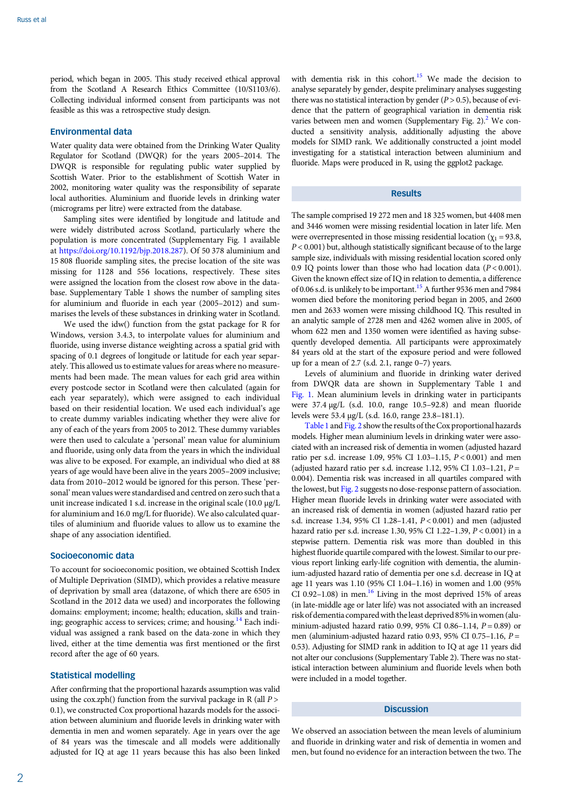period, which began in 2005. This study received ethical approval from the Scotland A Research Ethics Committee (10/S1103/6). Collecting individual informed consent from participants was not feasible as this was a retrospective study design.

## Environmental data

Water quality data were obtained from the Drinking Water Quality Regulator for Scotland (DWQR) for the years 2005–2014. The DWQR is responsible for regulating public water supplied by Scottish Water. Prior to the establishment of Scottish Water in 2002, monitoring water quality was the responsibility of separate local authorities. Aluminium and fluoride levels in drinking water (micrograms per litre) were extracted from the database.

Sampling sites were identified by longitude and latitude and were widely distributed across Scotland, particularly where the population is more concentrated (Supplementary Fig. 1 available at <https://doi.org/10.1192/bjp.2018.287>). Of 50 378 aluminium and 15 808 fluoride sampling sites, the precise location of the site was missing for 1128 and 556 locations, respectively. These sites were assigned the location from the closest row above in the database. Supplementary Table 1 shows the number of sampling sites for aluminium and fluoride in each year (2005–2012) and summarises the levels of these substances in drinking water in Scotland.

We used the idw() function from the gstat package for R for Windows, version 3.4.3, to interpolate values for aluminium and fluoride, using inverse distance weighting across a spatial grid with spacing of 0.1 degrees of longitude or latitude for each year separately. This allowed us to estimate values for areas where no measurements had been made. The mean values for each grid area within every postcode sector in Scotland were then calculated (again for each year separately), which were assigned to each individual based on their residential location. We used each individual's age to create dummy variables indicating whether they were alive for any of each of the years from 2005 to 2012. These dummy variables were then used to calculate a 'personal' mean value for aluminium and fluoride, using only data from the years in which the individual was alive to be exposed. For example, an individual who died at 88 years of age would have been alive in the years 2005–2009 inclusive; data from 2010–2012 would be ignored for this person. These 'personal' mean values were standardised and centred on zero such that a unit increase indicated 1 s.d. increase in the original scale (10.0 µg/L for aluminium and 16.0 mg/L for fluoride). We also calculated quartiles of aluminium and fluoride values to allow us to examine the shape of any association identified.

### Socioeconomic data

To account for socioeconomic position, we obtained Scottish Index of Multiple Deprivation (SIMD), which provides a relative measure of deprivation by small area (datazone, of which there are 6505 in Scotland in the 2012 data we used) and incorporates the following domains: employment; income; health; education, skills and train-ing; geographic access to services; crime; and housing.<sup>[14](#page-5-0)</sup> Each individual was assigned a rank based on the data-zone in which they lived, either at the time dementia was first mentioned or the first record after the age of 60 years.

# Statistical modelling

After confirming that the proportional hazards assumption was valid using the cox.zph() function from the survival package in R (all  $P$  > 0.1), we constructed Cox proportional hazards models for the association between aluminium and fluoride levels in drinking water with dementia in men and women separately. Age in years over the age of 84 years was the timescale and all models were additionally adjusted for IQ at age 11 years because this has also been linked with dementia risk in this cohort.<sup>15</sup> We made the decision to analyse separately by gender, despite preliminary analyses suggesting there was no statistical interaction by gender  $(P > 0.5)$ , because of evidence that the pattern of geographical variation in dementia risk varies between men and women (Supplementary Fig. 2). $^2$  We conducted a sensitivity analysis, additionally adjusting the above models for SIMD rank. We additionally constructed a joint model investigating for a statistical interaction between aluminium and fluoride. Maps were produced in R, using the ggplot2 package.

# **Results**

The sample comprised 19 272 men and 18 325 women, but 4408 men and 3446 women were missing residential location in later life. Men were overrepresented in those missing residential location ( $\chi_1$  = 93.8,  $P < 0.001$ ) but, although statistically significant because of to the large sample size, individuals with missing residential location scored only 0.9 IQ points lower than those who had location data  $(P < 0.001)$ . Given the known effect size of IQ in relation to dementia, a difference of 0.06 s.d. is unlikely to be important.<sup>15</sup> A further 9536 men and 7984 women died before the monitoring period began in 2005, and 2600 men and 2633 women were missing childhood IQ. This resulted in an analytic sample of 2728 men and 4262 women alive in 2005, of whom 622 men and 1350 women were identified as having subsequently developed dementia. All participants were approximately 84 years old at the start of the exposure period and were followed up for a mean of 2.7 (s.d. 2.1, range 0–7) years.

Levels of aluminium and fluoride in drinking water derived from DWQR data are shown in Supplementary Table 1 and [Fig. 1.](#page-2-0) Mean aluminium levels in drinking water in participants were 37.4 µg/L (s.d. 10.0, range 10.5–92.8) and mean fluoride levels were 53.4 µg/L (s.d. 16.0, range 23.8–181.1).

[Table 1](#page-3-0) and [Fig. 2](#page-3-0) show the results of the Cox proportional hazards models. Higher mean aluminium levels in drinking water were associated with an increased risk of dementia in women (adjusted hazard ratio per s.d. increase 1.09, 95% CI 1.03–1.15, P < 0.001) and men (adjusted hazard ratio per s.d. increase 1.12, 95% CI 1.03-1.21,  $P =$ 0.004). Dementia risk was increased in all quartiles compared with the lowest, but [Fig. 2](#page-3-0) suggests no dose-response pattern of association. Higher mean fluoride levels in drinking water were associated with an increased risk of dementia in women (adjusted hazard ratio per s.d. increase 1.34, 95% CI 1.28–1.41, P < 0.001) and men (adjusted hazard ratio per s.d. increase 1.30, 95% CI 1.22–1.39, P < 0.001) in a stepwise pattern. Dementia risk was more than doubled in this highest fluoride quartile compared with the lowest. Similar to our previous report linking early-life cognition with dementia, the aluminium-adjusted hazard ratio of dementia per one s.d. decrease in IQ at age 11 years was 1.10 (95% CI 1.04–1.16) in women and 1.00 (95% CI 0.92–1.08) in men. $^{16}$  Living in the most deprived 15% of areas (in late-middle age or later life) was not associated with an increased risk of dementia comparedwith the least deprived 85% inwomen (aluminium-adjusted hazard ratio 0.99, 95% CI 0.86-1.14,  $P = 0.89$ ) or men (aluminium-adjusted hazard ratio 0.93, 95% CI 0.75-1.16,  $P =$ 0.53). Adjusting for SIMD rank in addition to IQ at age 11 years did not alter our conclusions (Supplementary Table 2). There was no statistical interaction between aluminium and fluoride levels when both were included in a model together.

## **Discussion**

We observed an association between the mean levels of aluminium and fluoride in drinking water and risk of dementia in women and men, but found no evidence for an interaction between the two. The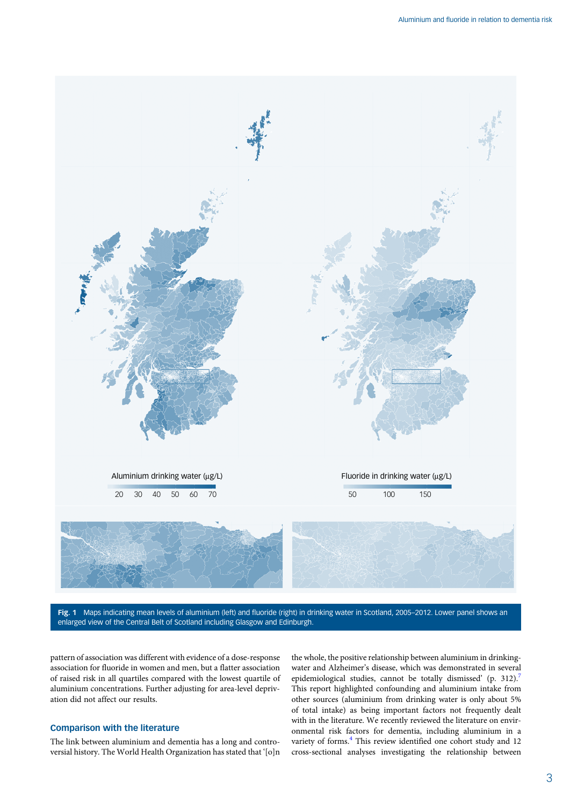<span id="page-2-0"></span>

Fig. 1 Maps indicating mean levels of aluminium (left) and fluoride (right) in drinking water in Scotland, 2005-2012. Lower panel shows an enlarged view of the Central Belt of Scotland including Glasgow and Edinburgh.

pattern of association was different with evidence of a dose-response association for fluoride in women and men, but a flatter association of raised risk in all quartiles compared with the lowest quartile of aluminium concentrations. Further adjusting for area-level deprivation did not affect our results.

# Comparison with the literature

The link between aluminium and dementia has a long and controversial history. The World Health Organization has stated that '[o]n the whole, the positive relationship between aluminium in drinkingwater and Alzheimer's disease, which was demonstrated in several epidemiological studies, cannot be totally dismissed' (p. 312).<sup>7</sup> This report highlighted confounding and aluminium intake from other sources (aluminium from drinking water is only about 5% of total intake) as being important factors not frequently dealt with in the literature. We recently reviewed the literature on environmental risk factors for dementia, including aluminium in a variety of forms.<sup>[4](#page-5-0)</sup> This review identified one cohort study and 12 cross-sectional analyses investigating the relationship between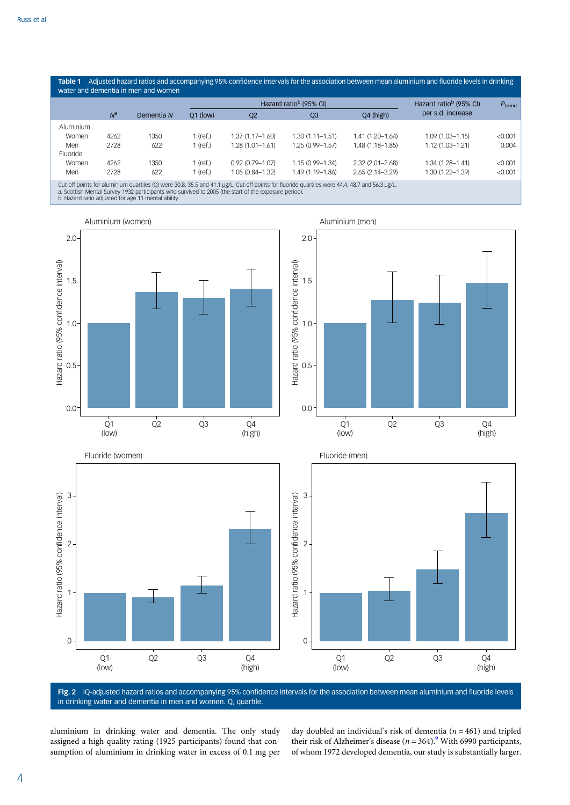<span id="page-3-0"></span>Table 1 Adjusted hazard ratios and accompanying 95% confidence intervals for the association between mean aluminium and fluoride levels in drinking water and dementia in men and women  $N^a$  Dementia N Hazard ratio<sup>b</sup> (95% CI) Hazard ratio<sup>b</sup> (95% CI) per s.d. increase  $P_{\text{trend}}$ Q1 (low) Q2 Q3 Q4 (high) Aluminium Women 4262 1350 1 (ref.) 1.37 (1.17–1.60) 1.30 (1.11–1.51) 1.41 (1.20–1.64) 1.09 (1.03–1.15) <0.001<br>Men 2728 622 1 (ref.) 1.28 (1.01–1.61) 1.25 (0.99–1.57) 1.48 (1.18–1.85) 1.12 (1.03–1.21) 0.004 Men 2728 622 1 (ref.) 1.28 (1.01–1.61) 1.25 (0.99–1.57) 1.48 (1.18–1.85) 1.12 (1.03–1.21) 0.004 Fluoride Women 4262 1350 1 (ref.) 0.92 (0.79–1.07) 1.15 (0.99–1.34) 2.32 (2.01–2.68) 1.34 (1.28–1.41) <0.001<br>Men 2728 622 1 (ref.) 1.05 (0.84–1.32) 1.49 (1.19–1.86) 2.65 (2.14–3.29) 1.30 (1.22–1.39) <0.001 Men 2728 622 1 (ref.) 1.05 (0.84–1.32) 1.49 (1.19–1.86) 2.65 (2.14–3.29) 1.30 (1.22–1.39) <0.001 Cut-off points for aluminium quartiles (Q) were 30.8, 35.5 and 41.1 µg/L. Cut-off points for fluoride quartiles were 44.4, 48.7 and 56.3 µg/L.

a. Scottish Mental Survey 1932 participants who survived to 2005 (the start of the exposure period). b. Hazard ratio adjusted for age 11 mental ability.



Fig. 2 IQ-adjusted hazard ratios and accompanying 95% confidence intervals for the association between mean aluminium and fluoride levels in drinking water and dementia in men and women. Q, quartile.

aluminium in drinking water and dementia. The only study assigned a high quality rating (1925 participants) found that consumption of aluminium in drinking water in excess of 0.1 mg per day doubled an individual's risk of dementia ( $n = 461$ ) and tripled their risk of Alzheimer's disease ( $n = 364$ ).<sup>[9](#page-5-0)</sup> With 6990 participants, of whom 1972 developed dementia, our study is substantially larger.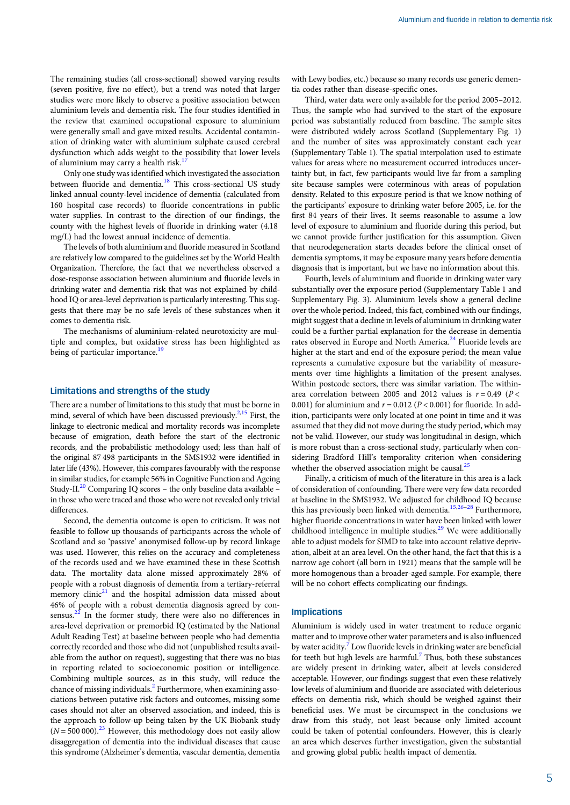The remaining studies (all cross-sectional) showed varying results (seven positive, five no effect), but a trend was noted that larger studies were more likely to observe a positive association between aluminium levels and dementia risk. The four studies identified in the review that examined occupational exposure to aluminium were generally small and gave mixed results. Accidental contamination of drinking water with aluminium sulphate caused cerebral dysfunction which adds weight to the possibility that lower levels of aluminium may carry a health risk.<sup>1</sup>

Only one study was identified which investigated the association between fluoride and dementia.<sup>[18](#page-5-0)</sup> This cross-sectional US study linked annual county-level incidence of dementia (calculated from 160 hospital case records) to fluoride concentrations in public water supplies. In contrast to the direction of our findings, the county with the highest levels of fluoride in drinking water (4.18 mg/L) had the lowest annual incidence of dementia.

The levels of both aluminium and fluoride measured in Scotland are relatively low compared to the guidelines set by the World Health Organization. Therefore, the fact that we nevertheless observed a dose-response association between aluminium and fluoride levels in drinking water and dementia risk that was not explained by childhood IQ or area-level deprivation is particularly interesting. This suggests that there may be no safe levels of these substances when it comes to dementia risk.

The mechanisms of aluminium-related neurotoxicity are multiple and complex, but oxidative stress has been highlighted as being of particular importance.<sup>[19](#page-5-0)</sup>

### Limitations and strengths of the study

There are a number of limitations to this study that must be borne in mind, several of which have been discussed previously.<sup>[2,15](#page-5-0)</sup> First, the linkage to electronic medical and mortality records was incomplete because of emigration, death before the start of the electronic records, and the probabilistic methodology used; less than half of the original 87 498 participants in the SMS1932 were identified in later life (43%). However, this compares favourably with the response in similar studies, for example 56% in Cognitive Function and Ageing Study-II. $^{20}$  Comparing IQ scores – the only baseline data available – in those who were traced and those who were not revealed only trivial differences.

Second, the dementia outcome is open to criticism. It was not feasible to follow up thousands of participants across the whole of Scotland and so 'passive' anonymised follow-up by record linkage was used. However, this relies on the accuracy and completeness of the records used and we have examined these in these Scottish data. The mortality data alone missed approximately 28% of people with a robust diagnosis of dementia from a tertiary-referral memory clinic<sup>21</sup> and the hospital admission data missed about 46% of people with a robust dementia diagnosis agreed by con-sensus.<sup>[22](#page-5-0)</sup> In the former study, there were also no differences in area-level deprivation or premorbid IQ (estimated by the National Adult Reading Test) at baseline between people who had dementia correctly recorded and those who did not (unpublished results available from the author on request), suggesting that there was no bias in reporting related to socioeconomic position or intelligence. Combining multiple sources, as in this study, will reduce the chance of missing individuals.<sup>[2](#page-5-0)</sup> Furthermore, when examining associations between putative risk factors and outcomes, missing some cases should not alter an observed association, and indeed, this is the approach to follow-up being taken by the UK Biobank study  $(N = 500000).^{23}$  $(N = 500000).^{23}$  $(N = 500000).^{23}$  However, this methodology does not easily allow disaggregation of dementia into the individual diseases that cause this syndrome (Alzheimer's dementia, vascular dementia, dementia

with Lewy bodies, etc.) because so many records use generic dementia codes rather than disease-specific ones.

Third, water data were only available for the period 2005–2012. Thus, the sample who had survived to the start of the exposure period was substantially reduced from baseline. The sample sites were distributed widely across Scotland (Supplementary Fig. 1) and the number of sites was approximately constant each year (Supplementary Table 1). The spatial interpolation used to estimate values for areas where no measurement occurred introduces uncertainty but, in fact, few participants would live far from a sampling site because samples were coterminous with areas of population density. Related to this exposure period is that we know nothing of the participants' exposure to drinking water before 2005, i.e. for the first 84 years of their lives. It seems reasonable to assume a low level of exposure to aluminium and fluoride during this period, but we cannot provide further justification for this assumption. Given that neurodegeneration starts decades before the clinical onset of dementia symptoms, it may be exposure many years before dementia diagnosis that is important, but we have no information about this.

Fourth, levels of aluminium and fluoride in drinking water vary substantially over the exposure period (Supplementary Table 1 and Supplementary Fig. 3). Aluminium levels show a general decline over the whole period. Indeed, this fact, combined with our findings, might suggest that a decline in levels of aluminium in drinking water could be a further partial explanation for the decrease in dementia rates observed in Europe and North America.<sup>[24](#page-5-0)</sup> Fluoride levels are higher at the start and end of the exposure period; the mean value represents a cumulative exposure but the variability of measurements over time highlights a limitation of the present analyses. Within postcode sectors, there was similar variation. The withinarea correlation between 2005 and 2012 values is  $r = 0.49$  ( $P <$ 0.001) for aluminium and  $r = 0.012$  ( $P < 0.001$ ) for fluoride. In addition, participants were only located at one point in time and it was assumed that they did not move during the study period, which may not be valid. However, our study was longitudinal in design, which is more robust than a cross-sectional study, particularly when considering Bradford Hill's temporality criterion when considering whether the observed association might be causal. $^{2}$ 

Finally, a criticism of much of the literature in this area is a lack of consideration of confounding. There were very few data recorded at baseline in the SMS1932. We adjusted for childhood IQ because this has previously been linked with dementia.<sup>[15,26](#page-5-0)–[28](#page-5-0)</sup> Furthermore, higher fluoride concentrations in water have been linked with lower childhood intelligence in multiple studies.<sup>[29](#page-5-0)</sup> We were additionally able to adjust models for SIMD to take into account relative deprivation, albeit at an area level. On the other hand, the fact that this is a narrow age cohort (all born in 1921) means that the sample will be more homogenous than a broader-aged sample. For example, there will be no cohort effects complicating our findings.

# Implications

Aluminium is widely used in water treatment to reduce organic matter and to improve other water parameters and is also influenced by water acidity.<sup>[7](#page-5-0)</sup> Low fluoride levels in drinking water are beneficial for teeth but high levels are harmful.<sup>[7](#page-5-0)</sup> Thus, both these substances are widely present in drinking water, albeit at levels considered acceptable. However, our findings suggest that even these relatively low levels of aluminium and fluoride are associated with deleterious effects on dementia risk, which should be weighed against their beneficial uses. We must be circumspect in the conclusions we draw from this study, not least because only limited account could be taken of potential confounders. However, this is clearly an area which deserves further investigation, given the substantial and growing global public health impact of dementia.